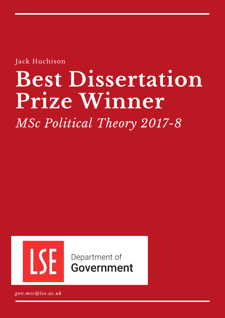Jack Huchison

# **Best Dissertation Prize Winner**

*MSc Political Theory 2017-8*



Department of Government

*gov.msc@lse.ac.uk*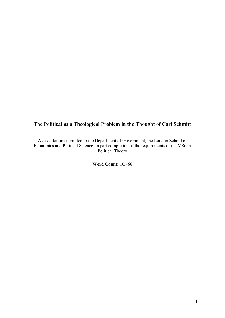## **The Political as a Theological Problem in the Thought of Carl Schmitt**

A dissertation submitted to the Department of Government, the London School of Economics and Political Science, in part completion of the requirements of the MSc in Political Theory

**Word Count:** 10,466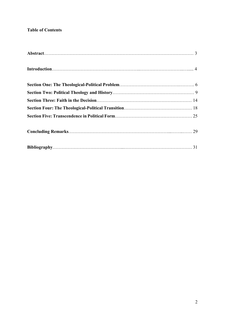### **Table of Contents**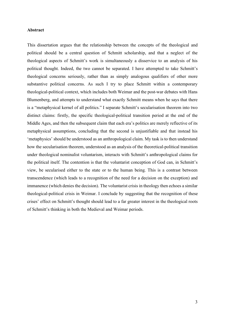#### **Abstract**

This dissertation argues that the relationship between the concepts of the theological and political should be a central question of Schmitt scholarship, and that a neglect of the theological aspects of Schmitt's work is simultaneously a disservice to an analysis of his political thought. Indeed, the two cannot be separated. I have attempted to take Schmitt's theological concerns seriously, rather than as simply analogous qualifiers of other more substantive political concerns. As such I try to place Schmitt within a contemporary theological-political context, which includes both Weimar and the post-war debates with Hans Blumenberg, and attempts to understand what exactly Schmitt means when he says that there is a "metaphysical kernel of all politics." I separate Schmitt's secularisation theorem into two distinct claims: firstly, the specific theological-political transition period at the end of the Middle Ages, and then the subsequent claim that each era's politics are merely reflective of its metaphysical assumptions, concluding that the second is unjustifiable and that instead his 'metaphysics' should be understood as an anthropological claim. My task is to then understand how the secularisation theorem, understood as an analysis of the theoretical-political transition under theological nominalist voluntarism, interacts with Schmitt's anthropological claims for the political itself. The contention is that the voluntarist conception of God can, in Schmitt's view, be secularised either to the state or to the human being. This is a contrast between transcendence (which leads to a recognition of the need for a decision on the exception) and immanence (which denies the decision). The voluntarist crisis in theology then echoes a similar theological-political crisis in Weimar. I conclude by suggesting that the recognition of these crises' effect on Schmitt's thought should lead to a far greater interest in the theological roots of Schmitt's thinking in both the Medieval and Weimar periods.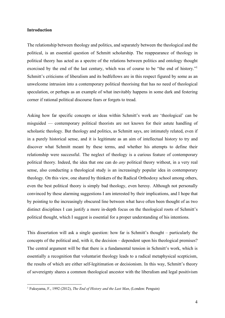#### **Introduction**

The relationship between theology and politics, and separately between the theological and the political, is an essential question of Schmitt scholarship. The reappearance of theology in political theory has acted as a spectre of the relations between politics and ontology thought exorcised by the end of the last century, which was of course to be "the end of history."<sup>1</sup> Schmitt's criticisms of liberalism and its bedfellows are in this respect figured by some as an unwelcome intrusion into a contemporary political theorising that has no need of theological speculation, or perhaps as an example of what inevitably happens in some dark and festering corner if rational political discourse fears or forgets to tread.

Asking how far specific concepts or ideas within Schmitt's work are 'theological' can be misguided — contemporary political theorists are not known for their astute handling of scholastic theology. But theology and politics, as Schmitt says, are intimately related, even if in a purely historical sense, and it is legitimate as an aim of intellectual history to try and discover what Schmitt meant by these terms, and whether his attempts to define their relationship were successful. The neglect of theology is a curious feature of contemporary political theory. Indeed, the idea that one can do *any* political theory without, in a very real sense, also conducting a theological study is an increasingly popular idea in contemporary theology. On this view, one shared by thinkers of the Radical Orthodoxy school among others, even the best political theory is simply bad theology, even heresy. Although not personally convinced by these alarming suggestions I am interested by their implications, and I hope that by pointing to the increasingly obscured line between what have often been thought of as two distinct disciplines I can justify a more in-depth focus on the theological roots of Schmitt's political thought, which I suggest is essential for a proper understanding of his intentions.

This dissertation will ask a single question: how far is Schmitt's thought – particularly the concepts of the political and, with it, the decision – dependent upon his theological premises? The central argument will be that there is a fundamental tension in Schmitt's work, which is essentially a recognition that voluntarist theology leads to a radical metaphysical scepticism, the results of which are either self-legitimation or decisionism. In this way, Schmitt's theory of sovereignty shares a common theological ancestor with the liberalism and legal positivism

<sup>1</sup> Fukuyama, F., 1992 (2012), *The End of History and the Last Man*, (London: Penguin)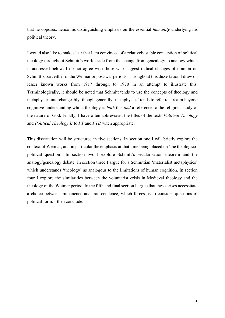that he opposes, hence his distinguishing emphasis on the essential *humanity* underlying his political theory.

I would also like to make clear that I am convinced of a relatively stable conception of political theology throughout Schmitt's work, aside from the change from genealogy to analogy which is addressed below. I do not agree with those who suggest radical changes of opinion on Schmitt's part either in the Weimar or post-war periods. Throughout this dissertation I draw on lesser known works from 1917 through to 1970 in an attempt to illustrate this. Terminologically, it should be noted that Schmitt tends to use the concepts of theology and metaphysics interchangeably, though generally 'metaphysics' tends to refer to a realm beyond cognitive understanding whilst theology is *both* this *and* a reference to the religious study of the nature of God. Finally, I have often abbreviated the titles of the texts *Political Theology* and *Political Theology II* to *PT* and *PTII* when appropriate.

This dissertation will be structured in five sections. In section one I will briefly explore the context of Weimar, and in particular the emphasis at that time being placed on 'the theologicopolitical question'. In section two I explore Schmitt's secularisation theorem and the analogy/genealogy debate. In section three I argue for a Schmittian 'materialist metaphysics' which understands 'theology' as analogous to the limitations of human cognition. In section four I explore the similarities between the voluntarist crisis in Medieval theology and the theology of the Weimar period. In the fifth and final section I argue that these crises necessitate a choice between immanence and transcendence, which forces us to consider questions of political form. I then conclude.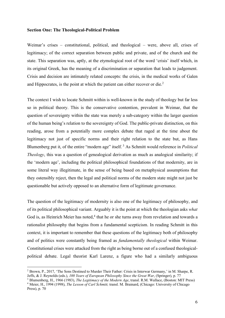#### **Section One: The Theological-Political Problem**

Weimar's crises – constitutional, political, and theological – were, above all, crises of legitimacy; of the correct separation between public and private, and of the church and the state. This separation was, aptly, at the etymological root of the word 'crisis' itself which, in its original Greek, has the meaning of a discrimination or separation that leads to judgement. Crisis and decision are intimately related concepts: the crisis, in the medical works of Galen and Hippocrates, is the point at which the patient can either recover or die.<sup>2</sup>

The context I wish to locate Schmitt within is well-known in the study of theology but far less so in political theory. This is the conservative contention, prevalent in Weimar, that the question of sovereignty within the state was merely a sub-category within the larger question of the human being's relation to the sovereignty of God. The public-private distinction, on this reading, arose from a potentially more complex debate that raged at the time about the legitimacy not just of specific norms and their right relation to the state but, as Hans Blumenberg put it, of the entire "modern age" itself.<sup>3</sup> As Schmitt would reference in *Political Theology*, this was a question of genealogical derivation as much as analogical similarity; if the 'modern age', including the political philosophical foundations of that modernity, are in some literal way illegitimate, in the sense of being based on metaphysical assumptions that they ostensibly reject, then the legal and political norms of the modern state might not just be questionable but actively opposed to an alternative form of legitimate governance.

The question of the legitimacy of modernity is also one of the legitimacy of philosophy, and of its political philosophical variant. Arguably it is the point at which the theologian asks *what* God is, as Heinrich Meier has noted, $4$  that he or she turns away from revelation and towards a rationalist philosophy that begins from a fundamental scepticism. In reading Schmitt in this context, it is important to remember that these questions of the legitimacy both of philosophy and of politics were constantly being framed as *fundamentally theological* within Weimar. Constitutional crises were attacked from the right as being borne out of a confused theologicalpolitical debate. Legal theorist Karl Larenz, a figure who had a similarly ambiguous

<sup>2</sup> Brown, P., 2017, 'The Sons Destined to Murder Their Father: Crisis in Interwar Germany,' in M. Sharpe, R. Jeffs, & J. Reynolds (eds.), *100 Years of European Philosophy Since the Great War*, (Springer), p. 77

<sup>3</sup> Blumenberg, H., 1966 (1983), *The Legitimacy of the Modern Age*, transl. R.M. Wallace, (Boston: MIT Press) <sup>4</sup> Meier, H., 1994 (1998), *The Lesson of Carl Schmitt,* transl. M. Brainard, (Chicago: University of Chicago Press), p. 70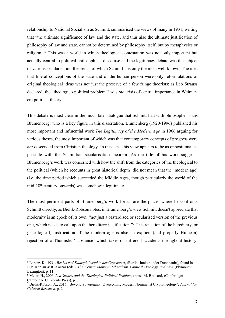relationship to National Socialism as Schmitt, summarised the views of many in 1931, writing that "the ultimate significance of law and the state, and thus also the ultimate justification of philosophy of law and state, cannot be determined by philosophy itself, but by metaphysics or religion."<sup>5</sup> This was a world in which theological contestation was not only important but actually central to political philosophical discourse and the legitimacy debate was the subject of various secularisation theorems, of which Schmitt's is only the most well-known. The idea that liberal conceptions of the state and of the human person were only reformulations of original theological ideas was not just the preserve of a few fringe theorists; as Leo Strauss declared, the "theologico-political problem"<sup>6</sup> was *the* crisis of central importance in Weimarera political theory.

This debate is most clear in the much later dialogue that Schmitt had with philosopher Hans Blumenberg, who is a key figure in this dissertation. Blumenberg (1920-1996) published his most important and influential work *The Legitimacy of the Modern Age* in 1966 arguing for various theses, the most important of which was that contemporary concepts of progress were *not* descended from Christian theology. In this sense his view appears to be as oppositional as possible with the Schmittian secularisation theorem. As the title of his work suggests, Blumenberg's work was concerned with how the shift from the categories of the theological to the political (which he recounts in great historical depth) did not mean that the 'modern age' (i.e. the time period which succeeded the Middle Ages, though particularly the world of the mid-18th century onwards) was somehow illegitimate.

The most pertinent parts of Blumenberg's work for us are the places where he confronts Schmitt directly; as Bielik-Robson notes, in Blumenberg's view Schmitt doesn't appreciate that modernity is an epoch of its own, "not just a bastardised or secularised version of the previous one, which needs to call upon the hereditary justification."<sup>7</sup> This rejection of the hereditary, or genealogical, justification of the modern age is also an explicit (and properly Humean) rejection of a Thomistic 'substance' which takes on different accidents throughout history:

<sup>5</sup> Larenz, K., 1931, *Rechts und Staatsphilosophie der Gegenwart*, (Berlin: Junker under Dunnhaubt), found in L.V. Kaplan & R. Koshar (eds.), *The Weimar Moment: Liberalism, Political Theology, and Law,* (Plymouth: Lexington), p. 11

<sup>6</sup> Meier, H., 2006, *Leo Strauss and the Theologico-Political Problem*, transl. M. Brainard, (Cambridge: Cambridge University Press), p. 3

<sup>7</sup> Bielik-Robson, A., 2016, 'Beyond Sovereignty: Overcoming Modern Nominalist Cryptotheology', *Journal for Cultural Research,* p. 2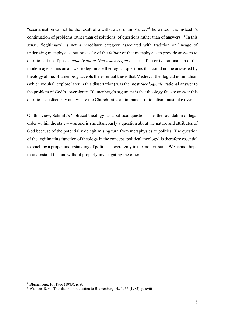"secularisation cannot be the result of a withdrawal of substance,"<sup>8</sup> he writes, it is instead "a continuation of problems rather than of solutions, of questions rather than of answers."<sup>9</sup> In this sense, 'legitimacy' is not a hereditary category associated with tradition or lineage of underlying metaphysics, but precisely of the *failure* of that metaphysics to provide answers to questions it itself poses, *namely about God's sovereignty*. The self-assertive rationalism of the modern age is thus an answer to legitimate theological questions that could not be answered by theology alone. Blumenberg accepts the essential thesis that Medieval theological nominalism (which we shall explore later in this dissertation) was the most *theologically* rational answer to the problem of God's sovereignty. Blumenberg's argument is that theology fails to answer this question satisfactorily and where the Church fails, an immanent rationalism must take over.

On this view, Schmitt's 'political theology' as a political question – i.e. the foundation of legal order within the state – was and is simultaneously a question about the nature and attributes of God because of the potentially delegitimising turn from metaphysics to politics. The question of the legitimating function of theology in the concept 'political theology' is therefore essential to reaching a proper understanding of political sovereignty in the modern state. We cannot hope to understand the one without properly investigating the other.

<sup>8</sup> Blumenberg, H., 1966 (1983), p. 95

<sup>9</sup> Wallace, R.M., Translators Introduction to Blumenberg, H., 1966 (1983), p. xviii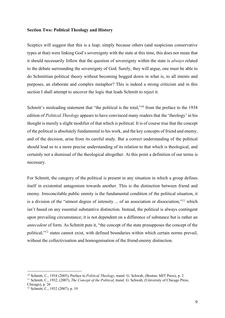#### **Section Two: Political Theology and History**

Sceptics will suggest that this is a leap; simply because others (and suspicious conservative types at that) were linking God's sovereignty with the state at this time, this does not mean that it should necessarily follow that the question of sovereignty within the state is *always* related to the debate surrounding the sovereignty of God. Surely, they will argue, one must be able to do Schmittian political theory without becoming bogged down in what is, to all intents and purposes, an elaborate and complex metaphor? This is indeed a strong criticism and in this section I shall attempt to uncover the logic that leads Schmitt to reject it.

Schmitt's misleading statement that "the political is the total,"<sup>10</sup> from the preface to the 1934 edition of *Political Theology* appears to have convinced many readers that the 'theology' in his thought is merely a slight modifier of that which is political. It is of course true that the concept of the political is absolutely fundamental to his work, and the key concepts of friend and enemy, and of the decision, arise from its careful study. But a correct understanding of the political should lead us to a more precise understanding of its relation to that which is theological, and certainly not a dismissal of the theological altogether. At this point a definition of our terms is necessary.

For Schmitt, the category of the political is present in any situation in which a group defines itself in existential antagonism towards another. This is the distinction between friend and enemy. Irreconcilable public enmity is the fundamental condition of the political situation, it is a division of the "utmost degree of intensity ... of an association or dissociation,"<sup>11</sup> which isn't based on any essential substantive distinction. Instead, the political is always contingent upon prevailing circumstance; it is not dependent on a difference of substance but is rather an *antecedent* of form. As Schmitt puts it, "the concept of the state presupposes the concept of the political;"<sup>12</sup> states cannot exist, with defined boundaries within which certain norms prevail, without the collectivisation and homogenisation of the friend-enemy distinction.

<sup>10</sup> Schmitt, C., 1934 (2005), Preface to *Political Theology*, transl. G. Schwab, (Boston: MIT Press), p. 2

<sup>11</sup> Schmitt, C., 1932, (2007), *The Concept of the Political*, transl. G. Schwab, (University of Chicago Press, Chicago), p. 26

<sup>12</sup> Schmitt, C., 1932 (2007), p. 19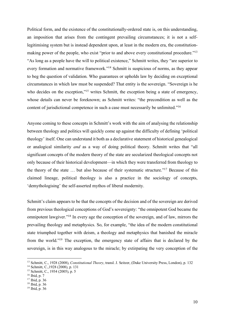Political form, and the existence of the constitutionally-ordered state is, on this understanding, an imposition that arises from the contingent prevailing circumstances; it is not a selflegitimising system but is instead dependent upon, at least in the modern era, the constitutionmaking power of the people, who exist "prior to and above every constitutional procedure."<sup>13</sup> "As long as a people have the will to political existence," Schmitt writes, they "are superior to every formation and normative framework."<sup>14</sup> Schmitt is suspicious of norms, as they appear to beg the question of validation. Who guarantees or upholds law by deciding on exceptional circumstances in which law must be suspended? That entity is the sovereign. "Sovereign is he who decides on the exception,"<sup>15</sup> writes Schmitt, the exception being a state of emergency, whose details can never be foreknown; as Schmitt writes: "the precondition as well as the content of jurisdictional competence in such a case must necessarily be unlimited."<sup>16</sup>

Anyone coming to these concepts in Schmitt's work with the aim of analysing the relationship between theology and politics will quickly come up against the difficulty of defining 'political theology' itself. One can understand it both as a declarative statement of historical genealogical or analogical similarity *and* as a way of doing political theory. Schmitt writes that "all significant concepts of the modern theory of the state are secularized theological concepts not only because of their historical development—in which they were transferred from theology to the theory of the state … but also because of their systematic structure."<sup>17</sup> Because of this claimed lineage, political theology is also a practice in the sociology of concepts, 'demythologising' the self-asserted mythos of liberal modernity.

Schmitt's claim appears to be that the concepts of the decision and of the sovereign are derived from previous theological conceptions of God's sovereignty: "the omnipotent God became the omnipotent lawgiver."<sup>18</sup> In every age the conception of the sovereign, and of law, mirrors the prevailing theology and metaphysics. So, for example, "the idea of the modern constitutional state triumphed together with deism, a theology and metaphysics that banished the miracle from the world."<sup>19</sup> The exception, the emergency state of affairs that is declared by the sovereign, is in this way analogous to the miracle; by extirpating the very conception of the

<sup>13</sup> Schmitt, C., 1928 (2008), *Constitutional Theory*, transl. J. Seitzer, (Duke University Press, London), p. 132

<sup>14</sup> Schmitt, C.,1928 (2008), p. 131 15 Schmitt, C., 1934 (2005), p. 5

<sup>16</sup> Ibid, p. 7

<sup>17</sup> Ibid, p. 36

<sup>18</sup> Ibid, p. 36

<sup>19</sup> Ibid, p. 36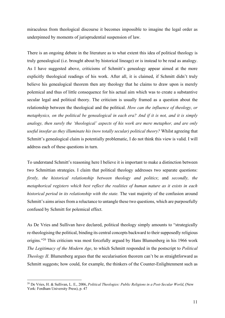miraculous from theological discourse it becomes impossible to imagine the legal order as underpinned by moments of jurisprudential suspension of law.

There is an ongoing debate in the literature as to what extent this idea of political theology is truly genealogical (i.e. brought about by historical lineage) or is instead to be read as analogy. As I have suggested above, criticisms of Schmitt's genealogy appear aimed at the more explicitly theological readings of his work. After all, it is claimed, if Schmitt didn't truly believe his genealogical theorem then any theology that he claims to draw upon is merely polemical and thus of little consequence for his actual aim which was to create a substantive secular legal and political theory. The criticism is usually framed as a question about the relationship between the theological and the political. *How can the influence of theology, or metaphysics, on the political be genealogical in each era? And if it is not, and it is simply analogy, then surely the 'theological' aspects of his work are mere metaphor, and are only useful insofar as they illuminate his (now totally secular) political theory?* Whilst agreeing that Schmitt's genealogical claim is potentially problematic, I do not think this view is valid. I will address each of these questions in turn.

To understand Schmitt's reasoning here I believe it is important to make a distinction between two Schmittian strategies. I claim that political theology addresses two separate questions: *firstly, the historical relationship between theology and politics*; and *secondly, the metaphorical registers which best reflect the realities of human nature as it exists in each historical period in its relationship with the state.* The vast majority of the confusion around Schmitt's aims arises from a reluctance to untangle these two questions, which are purposefully confused by Schmitt for polemical effect.

As De Vries and Sullivan have declared, political theology simply amounts to "strategically re-theologising the political, binding its central concepts backward to their supposedly religious origins."<sup>20</sup> This criticism was most forcefully argued by Hans Blumenberg in his 1966 work *The Legitimacy of the Modern Age*, to which Schmitt responded in the postscript to *Political Theology II*. Blumenberg argues that the secularisation theorem can't be as straightforward as Schmitt suggests; how could, for example, the thinkers of the Counter-Enlightenment such as

<sup>20</sup> De Vries, H. & Sullivan, L. E., 2006, *Political Theologies: Public Religions in a Post-Secular World*, (New York: Fordham University Press), p. 47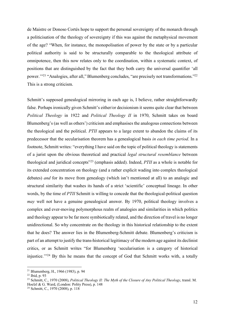de Maistre or Donoso Cortés hope to support the personal sovereignty of the monarch through a politicisation of the theology of sovereignty if this was against the metaphysical movement of the age? "When, for instance, the monopolisation of power by the state or by a particular political authority is said to be structurally comparable to the theological attribute of omnipotence, then this now relates only to the coordination, within a systematic context, of positions that are distinguished by the fact that they both carry the universal quantifier 'all power.'"<sup>21</sup> "Analogies, after all," Blumenberg concludes, "are precisely not transformations."<sup>22</sup> This is a strong criticism.

Schmitt's supposed genealogical mirroring in each age is, I believe, rather straightforwardly false. Perhaps ironically given Schmitt's either/or decisionism it seems quite clear that between *Political Theology* in 1922 and *Political Theology II* in 1970, Schmitt takes on board Blumenberg's (as well as others') criticism and emphasises the analogous connections between the theological and the political. *PTII* appears to a large extent to abandon the claims of its predecessor that the secularisation theorem has a genealogical basis *in each time period*. In a footnote, Schmitt writes: "everything I have said on the topic of political theology is statements of a jurist upon the obvious theoretical and practical *legal structural resemblance* between theological and juridical concepts"<sup>23</sup> (emphasis added). Indeed, *PTII* as a whole is notable for its extended concentration on theology (and a rather explicit wading into complex theological debates) *and* for its move from genealogy (which isn't mentioned at all) to an analogic and structural similarity that washes its hands of a strict 'scientific' conceptual lineage. In other words, by the time of *PTII* Schmitt is willing to concede that the theological-political question *may* well not have a genuine genealogical answer. By 1970, political theology involves a complex and ever-moving polymorphous realm of analogies and similarities in which politics and theology appear to be far more symbiotically related, and the direction of travel is no longer unidirectional. So why concentrate on the theology in this historical relationship to the extent that he does? The answer lies in the Blumenberg-Schmitt debate. Blumenberg's criticism is part of an attempt to justify the trans-historical legitimacy of the modern age against its declinist critics, or as Schmitt writes "for Blumenberg 'secularisation is a category of historical injustice.'"<sup>24</sup> By this he means that the concept of God that Schmitt works with, a totally

<sup>21</sup> Blumenberg, H., 1966 (1983), p. 94

<sup>22</sup> Ibid, p. 93

<sup>23</sup> Schmitt, C., 1970 (2008), *Political Theology II: The Myth of the Closure of Any Political Theology*, transl. M. Hoelzl & G. Ward, (London: Polity Press), p. 148

<sup>24</sup> Schmitt, C., 1970 (2008), p. 118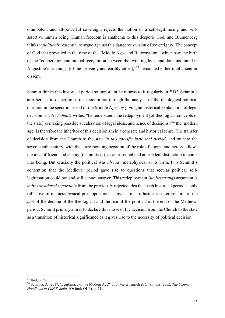omnipotent and all-powerful sovereign, rejects the notion of a self-legitimising and selfassertive human being. Human freedom is anathema to this despotic God, and Blumenberg thinks it *politically* essential to argue against this dangerous vision of sovereignty. The concept of God that prevailed in the time of the "Middle Ages and Reformation," which saw the birth of the "cooperation and mutual recognition between the two kingdoms and domains found in Augustine's teachings [of the heavenly and earthly cities],"<sup>25</sup> demanded either total assent or dissent.

Schmitt thinks this historical period so important he returns to it regularly in *PTII*. Schmitt's aim here is to delegitimise the modern era through the analysis of the theological-political question in the specific period of the Middle Ages by giving an historical explanation of legal decisionism. As *Schmitz* writes, "he understands the redeployment [of theological concepts in the state] as making possible a realization of legal ideas, and hence of decisions;"<sup>26</sup> the 'modern age' is therefore the inheritor of this decisionism in a concrete and historical sense. The transfer of decision from the Church to the state *in this specific historical period*, and on into the seventeenth century, with the corresponding negation of the role of dogma and heresy, allows the idea of friend and enemy (the political), as an essential and antecedent distinction to come into being. But crucially the political was *already* metaphysical at its birth. It is Schmitt's contention that the Medieval period gave rise to questions that secular political selflegitimation could not and still cannot answer. This redeployment (*umbesetzung*) argument is *to be considered separately* from the previously rejected idea that each historical period is only reflective of its metaphysical presuppositions. This is a macro-historical interpretation of the *fact* of the decline of the theological and the rise of the political at the end of the Medieval period. Schmitt primary aim is to declare this move of the decision from the Church to the state as a transition of historical significance as it gives rise to the necessity of political decision.

<sup>25</sup> Ibid, p. 39

<sup>26</sup> Schmitz, A., 2017, 'Legitimacy of the Modern Age?' In J. Meierhenrich & O. Simons (eds.), *The Oxford Handbook to Carl Schmitt,* (Oxford: OUP), p. 711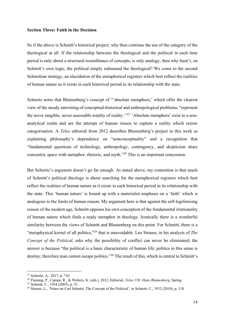#### **Section Three: Faith in the Decision**

So if the above is Schmitt's historical project, why then continue the use of the category of the theological at all. If the relationship between the theological and the political in each time period is only about a structural resemblance of concepts, is only analogy, then why hasn't, on Schmitt's own logic, the political simply subsumed the theological? We come to the second Schmittian strategy, an elucidation of the metaphorical registers which best reflect the realities of human nature as it exists in each historical period in its relationship with the state.

Schmitz notes that Blumenberg's concept of "'absolute metaphors,' which offer the clearest view of the steady entwining of conceptual-historical and anthropological problems, "represent the never tangible, never assessable totality of reality."<sup>27</sup> 'Absolute metaphors' exist in a nonanalytical realm and are the attempt of human reason to capture a reality which resists categorisation. A *Telos* editorial from 2012 describes Blumenberg's project in this work as explaining philosophy's dependence on "nonconceptuality" and a recognition that "fundamental questions of technology, anthropology, contingency, and skepticism share concentric space with metaphor, rhetoric, and myth." <sup>28</sup> This is an important concession.

But Schmitz's argument doesn't go far enough. As stated above, my contention is that much of Schmitt's political theology is about searching for the metaphorical registers which best reflect the realities of human nature as it exists in each historical period in its relationship with the state. This 'human nature' is bound up with a materialist emphasis on a 'faith' which is analogous to the limits of human reason. My argument here is that against the self-legitimising reason of the modern age, Schmitt opposes his own conception of the fundamental irrationality of human nature which finds a ready metaphor in theology. Ironically there is a wonderful similarity between the views of Schmitt and Blumenberg on this point. For Schmitt, there is a "metaphysical kernel of all politics,"<sup>29</sup> that is unavoidable. Leo Strauss, in his analysis of *The Concept of the Political*, asks why the possibility of conflict can never be eliminated; the answer is because "the political is a basic characteristic of human life; politics in this sense is destiny; therefore man cannot escape politics."<sup>30</sup> The result of this, which is central to Schmitt's

<sup>27</sup> Schmitz, A., 2017, p. 710

<sup>28</sup> Fleming, P., Campe, R., & Wetters, K. (eds.), 2012, Editorial, *Telos 158: Hans Blumenberg*, Spring

<sup>29</sup> Schmitt, C., 1934 (2005), p. 51

<sup>&</sup>lt;sup>30</sup> Strauss, L., 'Notes on Carl Schmitt, The Concept of the Political', in Schmitt, C., 1932 (2010), p. 110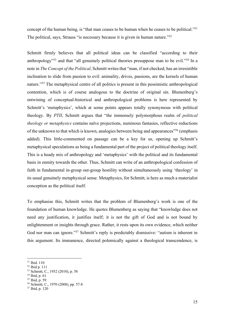concept of the human being, is "that man ceases to be human when he ceases to be political."<sup>31</sup> The political, says, Strauss "is necessary because it is given in human nature."<sup>32</sup>

Schmitt firmly believes that all political ideas can be classified "according to their anthropology<sup>33</sup> and that "all genuinely political theories presuppose man to be evil."<sup>34</sup> In a note in *The Concept of the Political*, Schmitt writes that "man, if not checked, has an irresistible inclination to slide from passion to evil: animality, drives, passions, are the kernels of human nature."<sup>35</sup> The metaphysical centre of all politics is present in this pessimistic anthropological contention, which is of course analogous to the doctrine of original sin. Blumenberg's entwining of conceptual-historical and anthropological problems is here represented by Schmitt's 'metaphysics', which at some points appears totally synonymous with political theology. By *PTII*, Schmitt argues that "the immensely polymorphous realm of *political theology or metaphysics* contains naïve projections, numinous fantasies, reflective reductions of the unknown to that which is known, analogies between being and appearances"<sup>36</sup> (emphasis added). This little-commented on passage can be a key for us, opening up Schmitt's metaphysical speculations as being a fundamental part of the project of political theology itself. This is a heady mix of anthropology and 'metaphysics' with the political and its fundamental basis in enmity towards the other. Thus, Schmitt can write of an anthropological confession of faith in fundamental in-group out-group hostility without simultaneously using 'theology' in its usual genuinely metaphysical sense. Metaphysics, for Schmitt, is here as much a materialist conception as the political itself.

To emphasise this, Schmitt writes that the problem of Blumenberg's work is one of the foundation of human knowledge. He quotes Blumenberg as saying that "knowledge does not need any justification, it justifies itself; it is not the gift of God and is not bound by enlightenment or insights through grace. Rather, it rests upon its own evidence, which neither God nor man can ignore."<sup>37</sup> Schmitt's reply is predictably dismissive: "autism is inherent in this argument. Its immanence, directed polemically against a theological transcendence, is

<sup>31</sup> Ibid. 110

<sup>32</sup> Ibid p. 111

<sup>33</sup> Schmitt, C., 1932 (2010), p. 58

<sup>34</sup> Ibid, p. 61

<sup>35</sup> Ibid, p. 59

<sup>36</sup> Schmitt, C., 1970 (2008), pp. 57-8

<sup>37</sup> Ibid, p. 120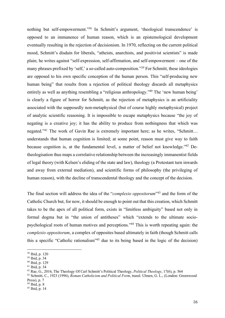nothing but self-empowerment."<sup>38</sup> In Schmitt's argument, 'theological transcendence' is opposed to an immanence of human reason, which is an epistemological development eventually resulting in the rejection of decisionism. In 1970, reflecting on the current political mood, Schmitt's disdain for liberals, "atheists, anarchists, and positivist scientists" is made plain; he writes against "self-expression, self-affirmation, and self-empowerment – one of the many phrases prefixed by 'self,' a so-called auto-composition."<sup>39</sup> For Schmitt, these ideologies are opposed to his own specific conception of the human person. This "self-producing new human being" that results from a rejection of political theology discards all metaphysics entirely as well as anything resembling a "religious anthropology."<sup>40</sup> The 'new human being' is clearly a figure of horror for Schmitt, as the rejection of metaphysics is an artificiality associated with the supposedly non-metaphysical (but of course highly metaphysical) project of analytic scientific reasoning. It is impossible to escape metaphysics because "the joy of negating is a creative joy; it has the ability to produce from nothingness that which was negated."<sup>41</sup> The work of Gavin Rae is extremely important here; as he writes, "Schmitt… understands that human cognition is limited; at some point, reason must give way to faith because cognition is, at the fundamental level, a matter of belief not knowledge."<sup>42</sup> Detheologisation thus maps a correlative relationship between the increasingly immanentist fields of legal theory (with Kelsen's eliding of the state and law), theology (a Protestant turn inwards and away from external mediation), and scientific forms of philosophy (the privileging of human reason), with the decline of transcendental theology and the concept of the decision.

The final section will address the idea of the "*complexio oppositorum*" 43 and the form of the Catholic Church but, for now, it should be enough to point out that this creation, which Schmitt takes to be the apex of all political form, exists in "limitless ambiguity" based not only in formal dogma but in "the union of antitheses" which "extends to the ultimate sociopsychological roots of human motives and perceptions."<sup>44</sup> This is worth repeating again: the *complexio oppositorum*, a complex of opposites based ultimately in faith (though Schmitt calls this a specific "Catholic rationalism"<sup>45</sup> due to its being based in the logic of the decision)

<sup>38</sup> Ibid, p. 120

<sup>39</sup> Ibid, p. 34

 $^{40}$  Ibid, p. 129<br> $^{41}$  Ibid, p. 34

<sup>&</sup>lt;sup>42</sup> Rae, G., 2016, The Theology Of Carl Schmitt's Political Theology, *Political Theology*, 17(6), p. 564

<sup>43</sup> Schmitt, C., 1923 (1996), *Roman Catholicism and Political Form*, transl. Ulmen, G. L., (London: Greenwood Press), p. 7

<sup>44</sup> Ibid, p. 8

 $45$  Ibid, p. 14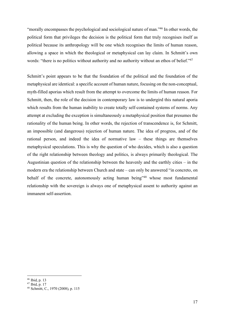"morally encompasses the psychological and sociological nature of man."<sup>46</sup> In other words, the political form that privileges the decision is the political form that truly recognises itself as political because its anthropology will be one which recognises the limits of human reason, allowing a space in which the theological or metaphysical can lay claim. In Schmitt's own words: "there is no politics without authority and no authority without an ethos of belief."<sup>47</sup>

Schmitt's point appears to be that the foundation of the political and the foundation of the metaphysical are identical: a specific account of human nature, focusing on the non-conceptual, myth-filled aporias which result from the attempt to overcome the limits of human reason. For Schmitt, then, the role of the decision in contemporary law is to undergird this natural aporia which results from the human inability to create totally self-contained systems of norms. Any attempt at excluding the exception is simultaneously a metaphysical position that presumes the rationality of the human being. In other words, the rejection of transcendence is, for Schmitt, an impossible (and dangerous) rejection of human nature. The idea of progress, and of the rational person, and indeed the idea of normative law – these things are themselves metaphysical speculations. This is why the question of who decides, which is also a question of the right relationship between theology and politics, is always primarily theological. The Augustinian question of the relationship between the heavenly and the earthly cities – in the modern era the relationship between Church and state – can only be answered "in concreto, on behalf of the concrete, autonomously acting human being<sup>748</sup> whose most fundamental relationship with the sovereign is always one of metaphysical assent to authority against an immanent self-assertion.

<sup>46</sup> Ibid, p. 13

 $47$  Ibid, p. 17

<sup>48</sup> Schmitt, C., 1970 (2008), p. 115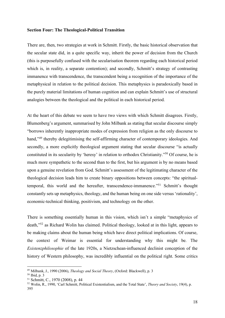#### **Section Four: The Theological-Political Transition**

There are, then, two strategies at work in Schmitt. Firstly, the basic historical observation that the secular state did, in a quite specific way, inherit the power of decision from the Church (this is purposefully confused with the secularisation theorem regarding each historical period which is, in reality, a separate contention); and secondly, Schmitt's strategy of contrasting immanence with transcendence, the transcendent being a recognition of the importance of the metaphysical in relation to the political decision. This metaphysics is paradoxically based in the purely material limitations of human cognition and can explain Schmitt's use of structural analogies between the theological and the political in each historical period.

At the heart of this debate we seem to have two views with which Schmitt disagrees. Firstly, Blumenberg's argument, summarised by John Milbank as stating that secular discourse simply "borrows inherently inappropriate modes of expression from religion as the only discourse to hand,"<sup>49</sup> thereby delegitimising the self-affirming character of contemporary ideologies. And secondly, a more explicitly theological argument stating that secular discourse "is actually constituted in its secularity by 'heresy' in relation to orthodox Christianity."<sup>50</sup> Of course, he is much more sympathetic to the second than to the first, but his argument is by no means based upon a genuine revelation from God. Schmitt's assessment of the legitimating character of the theological decision leads him to create binary oppositions between concepts: "the spiritualtemporal, this world and the hereafter, transcendence-immanence."<sup>51</sup> Schmitt's thought constantly sets up metaphysics, theology, and the human being on one side versus 'rationality', economic-technical thinking, positivism, and technology on the other.

There is something essentially human in this vision, which isn't a simple "metaphysics of death,"<sup>52</sup> as Richard Wolin has claimed. Political theology, looked at in this light, appears to be making claims about the human being which have direct political implications. Of course, the context of Weimar is essential for understanding why this might be. The *Existenzphilosophie* of the late 1920s, a Nietzschean-influenced declinist conception of the history of Western philosophy, was incredibly influential on the political right. Some critics

<sup>49</sup> Milbank, J., 1990 (2006), *Theology and Social Theory*, (Oxford: Blackwell), p. 3

<sup>50</sup> Ibid, p. 3

<sup>51</sup> Schmitt, C., 1970 (2008), p. 44

<sup>52</sup> Wolin, R., 1990, 'Carl Schmitt, Political Existentialism, and the Total State', *Theory and Society*, 19(4), p. 395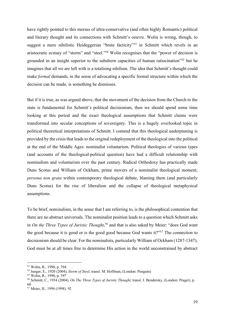have rightly pointed to this morass of ultra-conservative (and often highly Romantic) political and literary thought and its connections with Schmitt's oeuvre. Wolin is wrong, though, to suggest a mere nihilistic Heideggerian "brute facticity"<sup>53</sup> in Schmitt which revels in an aristocratic ecstasy of "storm" and "steel."<sup>54</sup> Wolin recognises that the "power of decision is grounded in an insight superior to the subaltern capacities of human ratiocination"<sup>55</sup> but he imagines that all we are left with is a totalising nihilism. The idea that Schmitt's thought could make *formal* demands, in the sense of advocating a specific formal structure within which the decision can be made, is something he dismisses.

But if it is true, as was argued above, that the movement of the decision from the Church to the state is fundamental for Schmitt's political decisionism, then we should spend some time looking at this period and the exact theological assumptions that Schmitt claims were transformed into secular conceptions of sovereignty. This is a hugely overlooked topic in political theoretical interpretations of Schmitt. I contend that this theological underpinning is provided by the crisis that leads to the original redeployment of the theological into the political at the end of the Middle Ages: nominalist voluntarism. Political theologies of various types (and accounts of the theological-political question) have had a difficult relationship with nominalism and voluntarism over the past century. Radical Orthodoxy has practically made Duns Scotus and William of Ockham, prime movers of a nominalist theological moment, *persona non grata* within contemporary theological debate, blaming them (and particularly Duns Scotus) for the rise of liberalism and the collapse of theological metaphysical assumptions.

To be brief, nominalism, in the sense that I am referring to, is the philosophical contention that there are no abstract universals. The nominalist position leads to a question which Schmitt asks in *On the Three Types of Juristic Thought*, <sup>56</sup> and that is also asked by Meier: "does God want the good because it is good or is the good good because God wants it?"<sup>57</sup> The connection to decisionism should be clear. For the nominalists, particularly William of Ockham (1287-1347), God must be at all times free to determine His action in the world unconstrained by abstract

<sup>53</sup> Wolin, R., 1990, p. 394

<sup>54</sup> Junger, E., 1920 (2004), *Storm of Steel*, transl. M. Hoffman, (London: Penguin) 55 Wolin, R., 1990, p. 397

<sup>56</sup> Schmitt, C., 1934 (2004), *On The Three Types of Juristic Thought*, transl. J. Bendersky, (London: Prager), p. 60

<sup>57</sup> Meier, H., 1994 (1998). 92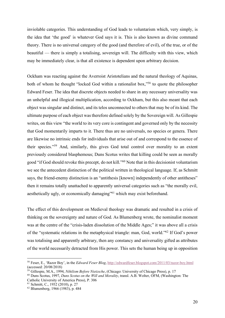inviolable categories. This understanding of God leads to voluntarism which, very simply, is the idea that 'the good' is whatever God says it is. This is also known as divine command theory. There is no universal category of the good (and therefore of evil), of the true, or of the beautiful — there is simply a totalising, sovereign will. The difficulty with this view, which may be immediately clear, is that all existence is dependent upon arbitrary decision.

Ockham was reacting against the Averroist Aristotelians and the natural theology of Aquinas, both of whom he thought "locked God within a rationalist box,"<sup>58</sup> to quote the philosopher Edward Feser. The idea that discrete objects needed to share in any necessary universality was an unhelpful and illogical multiplication, according to Ockham, but this also meant that each object was singular and distinct, and its telos unconnected to others that may be of its kind. The ultimate purpose of each object was therefore defined solely by the Sovereign will. As Gillespie writes, on this view "the world to its very core is contingent and governed only by the necessity that God momentarily imparts to it. There thus are no universals, no species or genera. There are likewise no intrinsic ends for individuals that arise out of and correspond to the essence of their species."<sup>59</sup> And, similarly, this gives God total control over morality to an extent previously considered blasphemous; Duns Scotus writes that killing could be seen as morally good "if God should revoke this precept, do not kill."<sup>60</sup> Note that in this decisionist voluntarism we see the antecedent distinction of the political written in theological language. If, as Schmitt says, the friend-enemy distinction is an "antithesis [known] independently of other antitheses" then it remains totally unattached to apparently universal categories such as "the morally evil, aesthetically ugly, or economically damaging"<sup>61</sup> which may exist beforehand.

The effect of this development on Medieval theology was dramatic and resulted in a crisis of thinking on the sovereignty and nature of God. As Blumenberg wrote, the nominalist moment was at the centre of the "crisis-laden dissolution of the Middle Ages;" it was above all a crisis of the "systematic relations in the metaphysical triangle: man, God, world."<sup>62</sup> If God's power was totalising and apparently arbitrary, then any constancy and universality gifted as attributes of the world necessarily detracted from His power. This sets the human being up in opposition

<sup>58</sup> Feser, E., 'Razor Boy', in the *Edward Feser Blog*, http://edwardfeser.blogspot.com/2011/03/razor-boy.html (accessed: 20/08/2018)

<sup>59</sup> Gillespie, M.A., 1994, *Nihilism Before Nietzsche*, (Chicago: University of Chicago Press), p. 17

<sup>60</sup> Duns Scotus, 1997, *Duns Scotus on the Will and Morality*, transl. A.B. Wolter, OFM, (Washington: The Catholic University of America Press), P. 306

<sup>61</sup> Schmitt, C., 1932 (2010), p. 27

<sup>62</sup> Blumenberg, 1966 (1983), p. 484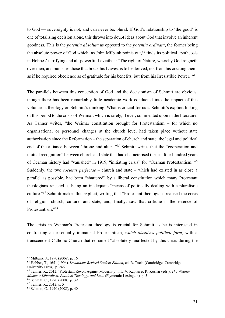to God — sovereignty is not, and can never be, plural. If God's relationship to 'the good' is one of totalising decision alone, this throws into doubt ideas about God that involve an inherent goodness. This is the *potentia absoluta* as opposed to the *potentia ordinata*, the former being the absolute power of God which, as John Milbank points out,  $63$  finds its political apotheosis in Hobbes' terrifying and all-powerful Leviathan: "The right of Nature, whereby God reigneth over men, and punishes those that break his Lawes, is to be derived, not from his creating them, as if he required obedience as of gratitude for his benefits; but from his Irresistible Power."<sup>64</sup>

The parallels between this conception of God and the decisionism of Schmitt are obvious, though there has been remarkably little academic work conducted into the impact of this voluntarist theology on Schmitt's thinking. What is crucial for us is Schmitt's explicit linking of this period to the crisis of Weimar, which is rarely, if ever, commented upon in the literature. As Tanner writes, "the Weimar constitution brought for Protestantism – for which no organisational or personnel changes at the church level had taken place without state authorisation since the Reformation – the separation of church and state, the legal and political end of the alliance between 'throne and altar.'"<sup>65</sup> Schmitt writes that the "cooperation and mutual recognition" between church and state that had characterised the last four hundred years of German history had "vanished" in 1919, "initiating crisis" for "German Protestantism."<sup>66</sup> Suddenly, the two *societas perfectae* – church and state – which had existed in as close a parallel as possible, had been "shattered" by a liberal constitution which many Protestant theologians rejected as being an inadequate "means of politically dealing with a pluralistic culture."<sup>67</sup> Schmitt makes this explicit, writing that "Protestant theologians realised the crisis of religion, church, culture, and state, and, finally, saw that critique is the essence of Protestantism<sup>"68</sup>

The crisis in Weimar's Protestant theology is crucial for Schmitt as he is interested in contrasting an essentially immanent Protestantism, *which dissolves political form*, with a transcendent Catholic Church that remained "absolutely unaffected by this crisis during the

<sup>63</sup> Milbank, J., 1990 (2006), p. 16

<sup>64</sup> Hobbes, T., 1651 (1996), *Leviathan: Revised Student Edition*, ed. R. Tuck, (Cambridge: Cambridge University Press), p. 246

<sup>65</sup> Tanner, K., 2012, 'Protestant Revolt Against Modernity' in L.V. Kaplan & R. Koshar (eds.), *The Weimar Moment: Liberalism, Political Theology, and Law,* (Plymouth: Lexington), p. 5

<sup>66</sup> Schmitt, C., 1970 (2008), p. 39

<sup>67</sup> Tanner, K., 2012, p. 5

<sup>68</sup> Schmitt, C., 1970 (2008), p. 40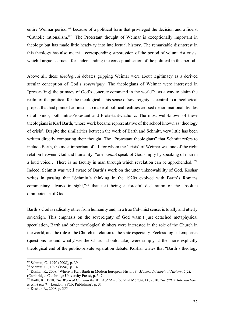entire Weimar period<sup>"69</sup> because of a political form that privileged the decision and a fideist "Catholic rationalism."<sup>70</sup> The Protestant thought of Weimar is exceptionally important in theology but has made little headway into intellectual history. The remarkable disinterest in this theology has also meant a corresponding suppression of the period of voluntarist crisis, which I argue is crucial for understanding the conceptualisation of the political in this period.

Above all, these *theological* debates gripping Weimar were about legitimacy as a derived secular conception of God's *sovereignty*. The theologians of Weimar were interested in "preserv[ing] the primacy of God's concrete command in the world"<sup>71</sup> as a way to claim the realm of the political for the theological. This sense of sovereignty as central to a theological project that had pointed criticisms to make of political realities crossed denominational divides of all kinds, both intra-Protestant and Protestant-Catholic. The most well-known of these theologians is Karl Barth, whose work became representative of the school known as 'theology of crisis'. Despite the similarities between the work of Barth and Schmitt, very little has been written directly comparing their thought. The "Protestant theologians" that Schmitt refers to include Barth, the most important of all, for whom the 'crisis' of Weimar was one of the right relation between God and humanity: "one *cannot* speak of God simply by speaking of man in a loud voice… There is no faculty in man through which revelation can be apprehended."<sup>72</sup> Indeed, Schmitt was well aware of Barth's work on the utter unknowability of God. Koshar writes in passing that "Schmitt's thinking in the 1920s evolved with Barth's Romans commentary always in sight,"<sup>73</sup> that text being a forceful declaration of the absolute omnipotence of God.

Barth's God is radically other from humanity and, in a true Calvinist sense, is totally and utterly sovereign. This emphasis on the sovereignty of God wasn't just detached metaphysical speculation, Barth and other theological thinkers were interested in the role of the Church in the world, and the role of the Church in relation to the state especially. Ecclesiological emphasis (questions around what *form* the Church should take) were simply at the more explicitly theological end of the public-private separation debate. Koshar writes that "Barth's theology

<sup>69</sup> Schmitt, C., 1970 (2008), p. 39

<sup>70</sup> Schmitt, C., 1923 (1996), p. 14

<sup>71</sup> Koshar, R., 2008, 'Where is Karl Barth in Modern European History?', *Modern Intellectual History*, 5(2), (Cambridge: Cambridge University Press), p. 347

<sup>72</sup> Barth, K., 1928, *The Word of God and the Word of Man*, found in Morgan, D., 2010, *The SPCK Introduction to Karl Barth*, (London: SPCK Publishing), p. 31

<sup>73</sup> Koshar, R., 2008, p. 355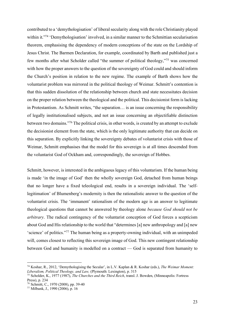contributed to a 'demythologisation' of liberal secularity along with the role Christianity played within it."<sup>74</sup> 'Demythologisation' involved, in a similar manner to the Schmittian secularisation theorem, emphasising the dependency of modern conceptions of the state on the Lordship of Jesus Christ. The Barmen Declaration, for example, coordinated by Barth and published just a few months after what Scholder called "the summer of political theology,"<sup>75</sup> was concerned with how the proper answers to the question of the sovereignty of God could and should inform the Church's position in relation to the new regime. The example of Barth shows how the voluntarist problem was mirrored in the political theology of Weimar. Schmitt's contention is that this sudden dissolution of the relationship between church and state necessitates decision on the proper relation between the theological and the political. This decisionist form is lacking in Protestantism. As Schmitt writes, "the separation… is an issue concerning the responsibility of legally institutionalised subjects, and not an issue concerning an objectifiable distinction between two domains."<sup>76</sup> The political crisis, in other words, is created by an attempt to exclude the decisionist element from the state, which is the only legitimate authority that can decide on this separation. By explicitly linking the sovereignty debates of voluntarist crisis with those of Weimar, Schmitt emphasises that the model for this sovereign is at all times descended from the voluntarist God of Ockham and, correspondingly, the sovereign of Hobbes.

Schmitt, however, is interested in the ambiguous legacy of this voluntarism. If the human being is made 'in the image of God' then the wholly sovereign God, detached from human beings that no longer have a fixed teleological end, results in a sovereign individual. The 'selflegitimation' of Blumenberg's modernity is then the rationalistic answer to the question of the voluntarist crisis. The 'immanent' rationalism of the modern age is an answer to legitimate theological questions that cannot be answered by theology alone *because God should not be arbitrary*. The radical contingency of the voluntarist conception of God forces a scepticism about God and His relationship to the world that "determines [a] new anthropology and [a] new 'science' of politics."<sup>77</sup> The human being as a property-owning individual, with an unimpeded will, comes closest to reflecting this sovereign image of God. This new contingent relationship between God and humanity is modelled on a contract — God is separated from humanity to

<sup>74</sup> Koshar, R., 2012, 'Demythologising the Secular', in L.V. Kaplan & R. Koshar (eds.), *The Weimar Moment: Liberalism, Political Theology, and Law,* (Plymouth: Lexington), p. 315

<sup>75</sup> Scholder, K., 1977 (1987), *The Churches and the Third Reich*, transl. J. Bowden, (Minneapolis: Fortress

Press), p. 234

<sup>76</sup> Schmitt, C., 1970 (2008), pp. 39-40

<sup>77</sup> Milbank, J., 1990 (2006), p. 16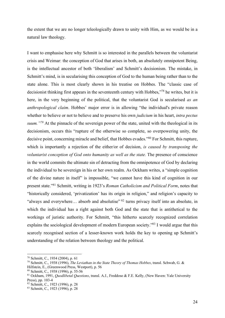the extent that we are no longer teleologically drawn to unity with Him, as we would be in a natural law theology.

I want to emphasise here why Schmitt is so interested in the parallels between the voluntarist crisis and Weimar: the conception of God that arises in both, an absolutely omnipotent Being, is the intellectual ancestor of both 'liberalism' and Schmitt's decisionism. The mistake, in Schmitt's mind, is in secularising this conception of God to the human being rather than to the state alone. This is most clearly shown in his treatise on Hobbes. The "classic case of decisionist thinking first appears in the seventeenth century with Hobbes,"<sup>78</sup> he writes, but it is here, in the very beginning of the political, that the voluntarist God is secularised *as an anthropological claim*. Hobbes' major error is in allowing "the individual's private reason whether to believe or not to believe and to preserve his own *judicium* in his heart, *intra pectus suum."<sup>79</sup>* At the pinnacle of the sovereign power of the state, united with the theological in its decisionism, occurs this "rupture of the otherwise so complete, so overpowering unity, the decisive point, concerning miracle and belief, that Hobbes evades."<sup>80</sup> For Schmitt, this rupture, which is importantly a rejection of the either/or of decision, *is caused by transposing the voluntarist conception of God onto humanity as well as the state.* The presence of conscience in the world commits the ultimate sin of detracting from the omnipotence of God by declaring the individual to be sovereign in his or her own realm. As Ockham writes, a "simple cognition of the divine nature in itself" is impossible, "we cannot have this kind of cognition in our present state."<sup>81</sup> Schmitt, writing in 1923's *Roman Catholicism and Political Form*, notes that "historically considered, 'privatization' has its origin in religion," and religion's capacity to "always and everywhere… absorb and absolutise" <sup>82</sup> turns privacy itself into an absolute, in which the individual has a right against both God and the state that is antithetical to the workings of juristic authority. For Schmitt, "this hitherto scarcely recognized correlation explains the sociological development of modern European society."<sup>83</sup> I would argue that this scarcely recognised section of a lesser-known work holds the key to opening up Schmitt's understanding of the relation between theology and the political.

<sup>78</sup> Schmitt, C., 1934 (2004), p. 61

<sup>79</sup> Schmitt, C., 1938 (1996), *The Leviathan in the State Theory of Thomas Hobbes*, transl. Schwab, G. &

Hilfstein, E., (Greenwood Press, Westport), p. 56

<sup>80</sup> Schmitt, C., 1938 (1996), p. 55-56

<sup>81</sup> Ockham, 1991, *Quodlibetal Questions*, transl. A.J., Freddoso & F.E. Kelly, (New Haven: Yale University Press), pp. 103-4

<sup>82</sup> Schmitt, C., 1923 (1996), p. 28

<sup>83</sup> Schmitt, C., 1923 (1996), p. 28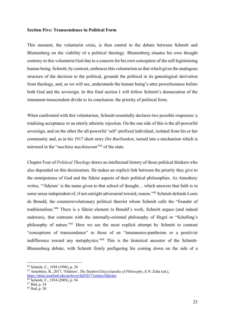#### **Section Five: Transcendence in Political Form**

This moment, the voluntarist crisis, is then central to the debate between Schmitt and Blumenberg on the viability of a political theology. Blumenberg situates his own thought contrary to this voluntarist God due to a concern for his own conception of the self-legitimising human being. Schmitt, by contrast, embraces this voluntarism as that which gives the analogous structure of the decision to the political, grounds the political in its genealogical derivation from theology, and, as we will see, understands the human being's utter powerlessness before both God and the sovereign. In this final section I will follow Schmitt's demarcation of the immanent-transcendent divide to its conclusion: the priority of political form.

When confronted with this voluntarism, Schmitt essentially declares two possible responses: a totalising acceptance or an utterly atheistic rejection. On the one side of this is the all-powerful sovereign, and on the other the all-powerful 'self'-prefixed individual, isolated from his or her community and, as in his 1917 short story *Die Buribunken*, turned into a mechanism which is mirrored in the "*machina machinarum*" <sup>84</sup> of the state.

Chapter Four of *Political Theology* draws an intellectual history of those political thinkers who also depended on this decisionism. He makes an explicit link between the priority they give to the omnipotence of God and the fideist aspects of their political philosophies. As Amesbury writes, "'fideism' is the name given to that school of thought... which answers that faith is in some sense independent of, if not outright adversarial toward, reason."<sup>85</sup> Schmitt defends Louis de Bonald, the counterrevolutionary political theorist whom Schmitt calls the "founder of traditionalism."<sup>86</sup> There is a fideist element to Bonald's work, Schmitt argues (and indeed endorses), that contrasts with the internally-oriented philosophy of Hegel or "Schelling's philosophy of nature."<sup>87</sup> Here we see the most explicit attempt by Schmitt to contrast "conceptions of transcendence" to those of an "immanence-pantheism or a positivist indifference toward any metaphysics."<sup>88</sup> This is the historical ancestor of the Schmitt-Blumenberg debate, with Schmitt firmly prefiguring his coming down on the side of a

<sup>84</sup> Schmitt, C., 1938 (1996), p. 34

<sup>85</sup> Amesbury, R., 2017, 'Fideism', *The Stanford Encyclopedia of Philosophy*, E.N. Zalta (ed.), https://plato.stanford.edu/archives/fall2017/entries/fideism/

<sup>86</sup> Schmitt, C., 1934 (2005), p. 54

<sup>87</sup> Ibid, p. 54

<sup>88</sup> Ibid, p. 50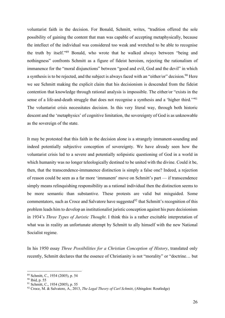voluntarist faith in the decision. For Bonald, Schmitt, writes, "tradition offered the sole possibility of gaining the content that man was capable of accepting metaphysically, because the intellect of the individual was considered too weak and wretched to be able to recognise the truth by itself."<sup>89</sup> Bonald, who wrote that he walked always between "being and nothingness" confronts Schmitt as a figure of fideist heroism, rejecting the rationalism of immanence for the "moral disjunctions" between "good and evil, God and the devil" in which a synthesis is to be rejected, and the subject is always faced with an "either/or" decision.<sup>90</sup> Here we see Schmitt making the explicit claim that his decisionism is descended from the fideist contention that knowledge through rational analysis is impossible. The either/or "exists in the sense of a life-and-death struggle that does not recognise a synthesis and a 'higher third.'"<sup>91</sup> The voluntarist crisis necessitates decision. In this very literal way, through both historic descent and the 'metaphysics' of cognitive limitation, the sovereignty of God is as unknowable as the sovereign of the state.

It may be protested that this faith in the decision alone is a strangely immanent-sounding and indeed potentially subjective conception of sovereignty. We have already seen how the voluntarist crisis led to a severe and potentially solipsistic questioning of God in a world in which humanity was no longer teleologically destined to be united with the divine. Could it be, then, that the transcendence-immanence distinction is simply a false one? Indeed, a rejection of reason could be seen as a far more 'immanent' move on Schmitt's part — if transcendence simply means relinquishing responsibility as a rational individual then the distinction seems to be more semantic than substantive. These protests are valid but misguided. Some commentators, such as Croce and Salvatore have suggested<sup>92</sup> that Schmitt's recognition of this problem leads him to develop an institutionalist juristic conception against his pure decisionism in 1934's *Three Types of Juristic Thought*. I think this is a rather excitable interpretation of what was in reality an unfortunate attempt by Schmitt to ally himself with the new National Socialist regime.

In his 1950 essay *Three Possibilities for a Christian Conception of History*, translated only recently, Schmitt declares that the essence of Christianity is not "morality" or "doctrine… but

<sup>89</sup> Schmitt, C., 1934 (2005), p. 54

<sup>90</sup> Ibid, p. 55

<sup>91</sup> Schmitt, C., 1934 (2005), p. 55

<sup>92</sup> Croce, M. & Salvatore, A., 2013, *The Legal Theory of Carl Schmitt*, (Abingdon: Routledge)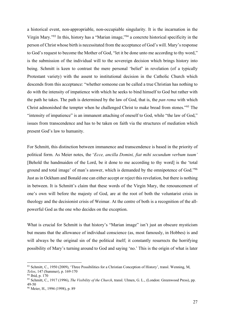a historical event, non-appropriable, non-occupiable singularity. It is the incarnation in the Virgin Mary."<sup>93</sup> In this, history has a "Marian image,"<sup>94</sup> a concrete historical specificity in the person of Christ whose birth is necessitated from the acceptance of God's will. Mary's response to God's request to become the Mother of God, "let it be done unto me according to thy word," is the submission of the individual will to the sovereign decision which brings history into being. Schmitt is keen to contrast the mere personal 'belief' in revelation (of a typically Protestant variety) with the assent to institutional decision in the Catholic Church which descends from this acceptance: "whether someone can be called a true Christian has nothing to do with the intensity of impatience with which he seeks to bind himself to God but rather with the path he takes. The path is determined by the law of God, that is, the *pan rema* with which Christ admonished the tempter when he challenged Christ to make bread from stones."<sup>95</sup> The "intensity of impatience" is an immanent attaching of oneself to God, while "the law of God," issues from transcendence and has to be taken on faith via the structures of mediation which present God's law to humanity.

For Schmitt, this distinction between immanence and transcendence is based in the priority of political form. As Meier notes, the '*Ecce, ancilla Domini, fiat mihi secundum verbum tuum'* [Behold the handmaiden of the Lord, be it done to me according to thy word] is the 'total ground and total image' of man's answer, which is demanded by the omnipotence of God."<sup>96</sup> Just as in Ockham and Bonald one can either accept or reject this revelation, but there is nothing in between. It is Schmitt's claim that these words of the Virgin Mary, the renouncement of one's own will before the majesty of God, are at the root of both the voluntarist crisis in theology and the decisionist crisis of Weimar. At the centre of both is a recognition of the allpowerful God as the one who decides on the exception.

What is crucial for Schmitt is that history's "Marian image" isn't just an obscure mysticism but means that the allowance of individual conscience (as, most famously, in Hobbes) is and will always be the original sin of the political itself; it constantly resurrects the horrifying possibility of Mary's turning around to God and saying 'no.' This is the origin of what is later

<sup>93</sup> Schmitt, C., 1950 (2009), 'Three Possibilities for a Christian Conception of History', transl. Wenning, M, *Telos*, 147 (Summer), p. 169-170

<sup>94</sup> Ibid, p. 170

<sup>95</sup> Schmitt, C., 1917 (1996), *The Visibility of the Church*, transl. Ulmen, G. L., (London: Greenwood Press), pp. 49-50

<sup>96</sup> Meier, H., 1994 (1998), p. 89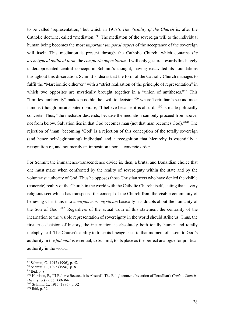to be called 'representation,' but which in 1917's *The Visiblity of the Church* is, after the Catholic doctrine, called "mediation."<sup>97</sup> The mediation of the sovereign will to the individual human being becomes the most *important temporal aspect* of the acceptance of the sovereign will itself. This mediation is present through the Catholic Church, which contains *the archetypical political form*, the *complexio oppositorum*. I will only gesture towards this hugely underappreciated central concept in Schmitt's thought, having excavated its foundations throughout this dissertation. Schmitt's idea is that the form of the Catholic Church manages to fulfil the "Marcionitic either/or" with a "strict realisation of the principle of representation" in which two opposites are mystically brought together in a "union of antitheses."<sup>98</sup> This "limitless ambiguity" makes possible the "will to decision"<sup>99</sup> where Tertullian's second most famous (though misattributed) phrase, "I believe because it is absurd,"<sup>100</sup> is made politically concrete. Thus, "the mediator descends, because the mediation can only proceed from above, not from below. Salvation lies in that God becomes man (not that man becomes God)."<sup>101</sup> The rejection of 'man' becoming 'God' is a rejection of this conception of the totally sovereign (and hence self-legitimating) individual and a recognition that hierarchy is essentially a recognition of, and not merely an imposition upon, a concrete order.

For Schmitt the immanence-transcendence divide is, then, a brutal and Bonaldian choice that one must make when confronted by the reality of sovereignty within the state and by the voluntarist authority of God. Thus he opposes those Christian sects who have denied the visible (concrete) reality of the Church in the world with the Catholic Church itself, stating that "every religious sect which has transposed the concept of the Church from the visible community of believing Christians into a *corpus mere mysticum* basically has doubts about the humanity of the Son of God."<sup>102</sup> Regardless of the actual truth of this statement the centrality of the incarnation to the visible representation of sovereignty in the world should strike us. Thus, the first true decision of history, the incarnation, is absolutely both totally human and totally metaphysical. The Church's ability to trace its lineage back to that moment of assent to God's authority in the *fiat mihi* is essential, to Schmitt, to its place as the perfect analogue for political authority in the world.

<sup>102</sup> Ibid, p. 52

<sup>97</sup> Schmitt, C., 1917 (1996), p. 52

<sup>98</sup> Schmitt, C., 1923 (1996), p. 8

<sup>99</sup> Ibid, p. 8

<sup>100</sup> Harrison, P., '"I Believe Because it is Absurd": The Enlightenment Invention of Tertullian's *Credo*', *Church History*, 86(2), pp. 339-364

<sup>101</sup> Schmitt, C., 1917 (1996), p. 52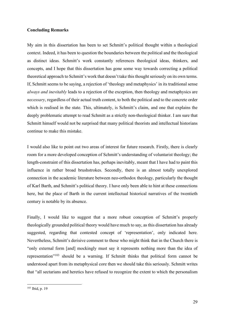#### **Concluding Remarks**

My aim in this dissertation has been to set Schmitt's political thought within a theological context. Indeed, it has been to question the boundaries between the political and the theological as distinct ideas. Schmitt's work constantly references theological ideas, thinkers, and concepts, and I hope that this dissertation has gone some way towards correcting a political theoretical approach to Schmitt's work that doesn't take this thought seriously on its own terms. If, Schmitt seems to be saying, a rejection of 'theology and metaphysics' in its traditional sense *always and inevitably* leads to a rejection of the exception, then theology and metaphysics are *necessary*, regardless of their actual truth content, to both the political and to the concrete order which is realised in the state. This, ultimately, is Schmitt's claim, and one that explains the deeply problematic attempt to read Schmitt as a strictly non-theological thinker. I am sure that Schmitt himself would not be surprised that many political theorists and intellectual historians continue to make this mistake.

I would also like to point out two areas of interest for future research. Firstly, there is clearly room for a more developed conception of Schmitt's understanding of voluntarist theology; the length-constraint of this dissertation has, perhaps inevitably, meant that I have had to paint this influence in rather broad brushstrokes. Secondly, there is an almost totally unexplored connection in the academic literature between neo-orthodox theology, particularly the thought of Karl Barth, and Schmitt's political theory. I have only been able to hint at these connections here, but the place of Barth in the current intellectual historical narratives of the twentieth century is notable by its absence.

Finally, I would like to suggest that a more robust conception of Schmitt's properly theologically grounded political theory would have much to say, as this dissertation has already suggested, regarding that contested concept of 'representation', only indicated here. Nevertheless, Schmitt's derisive comment to those who might think that in the Church there is "only external form [and] mockingly must say it represents nothing more than the idea of representation"<sup>103</sup> should be a warning. If Schmitt thinks that political form cannot be understood apart from its metaphysical core then we should take this seriously. Schmitt writes that "all sectarians and heretics have refused to recognize the extent to which the personalism

<sup>103</sup> Ibid, p. 19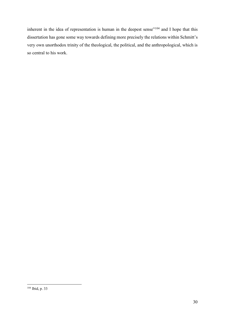inherent in the idea of representation is human in the deepest sense"<sup>104</sup> and I hope that this dissertation has gone some way towards defining more precisely the relations within Schmitt's very own unorthodox trinity of the theological, the political, and the anthropological, which is so central to his work.

 $104$  Ibid, p. 33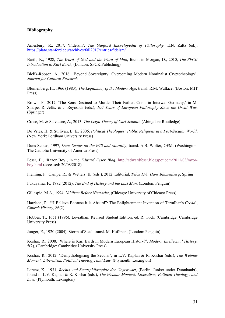#### **Bibliography**

Amesbury, R., 2017, 'Fideism', *The Stanford Encyclopedia of Philosophy*, E.N. Zalta (ed.), https://plato.stanford.edu/archives/fall2017/entries/fideism/

Barth, K., 1928, *The Word of God and the Word of Man*, found in Morgan, D., 2010, *The SPCK Introduction to Karl Barth*, (London: SPCK Publishing)

Bielik-Robson, A., 2016, 'Beyond Sovereignty: Overcoming Modern Nominalist Cryptotheology', *Journal for Cultural Research*

Blumenberg, H., 1966 (1983), *The Legitimacy of the Modern Age*, transl. R.M. Wallace, (Boston: MIT Press)

Brown, P., 2017, 'The Sons Destined to Murder Their Father: Crisis in Interwar Germany,' in M. Sharpe, R. Jeffs, & J. Reynolds (eds.), *100 Years of European Philosophy Since the Great War*, (Springer)

Croce, M. & Salvatore, A., 2013, *The Legal Theory of Carl Schmitt*, (Abingdon: Routledge)

De Vries, H. & Sullivan, L. E., 2006, *Political Theologies: Public Religions in a Post-Secular World*, (New York: Fordham University Press)

Duns Scotus, 1997, *Duns Scotus on the Will and Morality*, transl. A.B. Wolter, OFM, (Washington: The Catholic University of America Press)

Feser, E., 'Razor Boy', in the *Edward Feser Blog*, http://edwardfeser.blogspot.com/2011/03/razorboy.html (accessed: 20/08/2018)

Fleming, P., Campe, R., & Wetters, K. (eds.), 2012, Editorial, *Telos 158: Hans Blumenberg*, Spring

Fukuyama, F., 1992 (2012), *The End of History and the Last Man*, (London: Penguin)

Gillespie, M.A., 1994, *Nihilism Before Nietzsche*, (Chicago: University of Chicago Press)

Harrison, P., '"I Believe Because it is Absurd": The Enlightenment Invention of Tertullian's *Credo*', *Church History*, 86(2)

Hobbes, T., 1651 (1996), Leviathan: Revised Student Edition, ed. R. Tuck, (Cambridge: Cambridge University Press)

Junger, E., 1920 (2004), Storm of Steel, transl. M. Hoffman, (London: Penguin)

Koshar, R., 2008, 'Where is Karl Barth in Modern European History?', *Modern Intellectual History*, 5(2), (Cambridge: Cambridge University Press)

Koshar, R., 2012, 'Demythologising the Secular', in L.V. Kaplan & R. Koshar (eds.), *The Weimar Moment: Liberalism, Political Theology, and Law, (Plymouth: Lexington)* 

Larenz, K., 1931, *Rechts und Staatsphilosophie der Gegenwart*, (Berlin: Junker under Dunnhaubt), found in L.V. Kaplan & R. Koshar (eds.), *The Weimar Moment: Liberalism, Political Theology, and Law,* (Plymouth: Lexington)